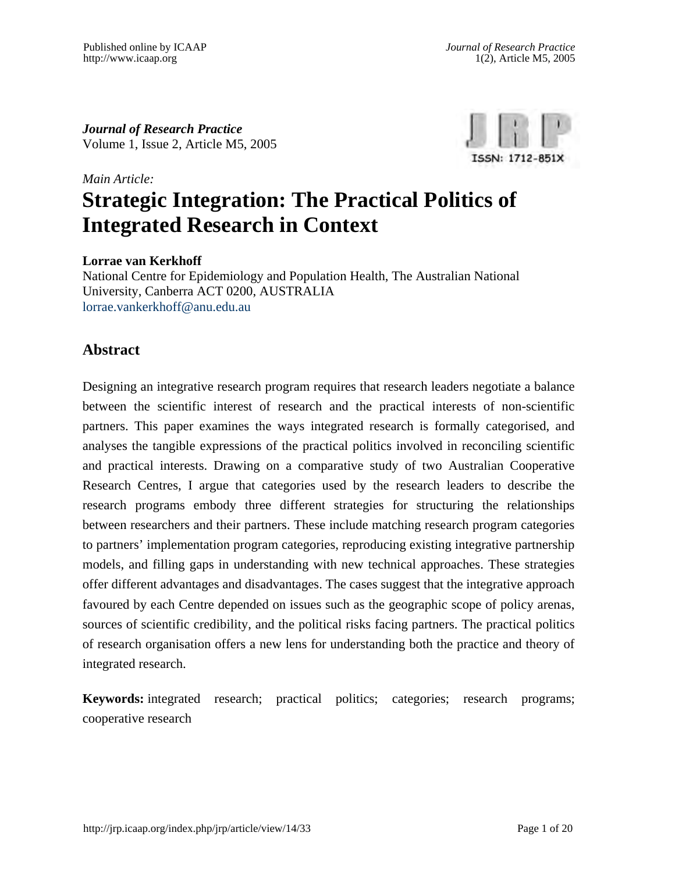*Journal of Research Practice*  Volume 1, Issue 2, Article M5, 2005

*Main Article:*



# **Strategic Integration: The Practical Politics of Integrated Research in Context**

#### **Lorrae van Kerkhoff**

National Centre for Epidemiology and Population Health, The Australian National University, Canberra ACT 0200, AUSTRALIA [lorrae.vankerkhoff@anu.edu.au](mailto:lorrae.vankerkhoff@anu.edu.au) 

### **Abstract**

Designing an integrative research program requires that research leaders negotiate a balance between the scientific interest of research and the practical interests of non-scientific partners. This paper examines the ways integrated research is formally categorised, and analyses the tangible expressions of the practical politics involved in reconciling scientific and practical interests. Drawing on a comparative study of two Australian Cooperative Research Centres, I argue that categories used by the research leaders to describe the research programs embody three different strategies for structuring the relationships between researchers and their partners. These include matching research program categories to partners' implementation program categories, reproducing existing integrative partnership models, and filling gaps in understanding with new technical approaches. These strategies offer different advantages and disadvantages. The cases suggest that the integrative approach favoured by each Centre depended on issues such as the geographic scope of policy arenas, sources of scientific credibility, and the political risks facing partners. The practical politics of research organisation offers a new lens for understanding both the practice and theory of integrated research.

**Keywords:** integrated research; practical politics; categories; research programs; cooperative research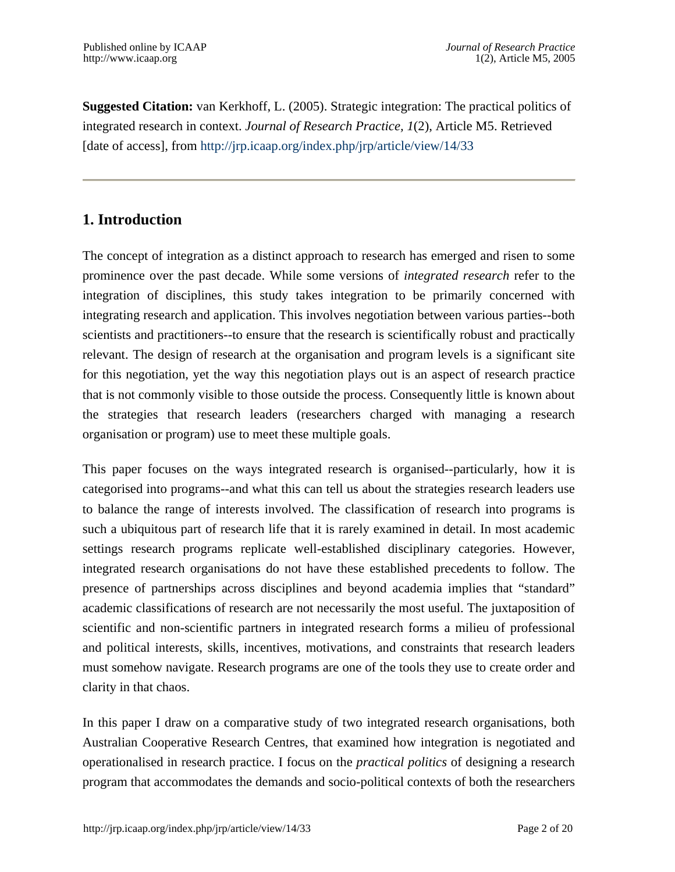**Suggested Citation:** van Kerkhoff, L. (2005). Strategic integration: The practical politics of integrated research in context. *Journal of Research Practice, 1*(2), Article M5. Retrieved [date of access], from <http://jrp.icaap.org/index.php/jrp/article/view/14/33>

# **1. Introduction**

The concept of integration as a distinct approach to research has emerged and risen to some prominence over the past decade. While some versions of *integrated research* refer to the integration of disciplines, this study takes integration to be primarily concerned with integrating research and application. This involves negotiation between various parties--both scientists and practitioners--to ensure that the research is scientifically robust and practically relevant. The design of research at the organisation and program levels is a significant site for this negotiation, yet the way this negotiation plays out is an aspect of research practice that is not commonly visible to those outside the process. Consequently little is known about the strategies that research leaders (researchers charged with managing a research organisation or program) use to meet these multiple goals.

This paper focuses on the ways integrated research is organised--particularly, how it is categorised into programs--and what this can tell us about the strategies research leaders use to balance the range of interests involved. The classification of research into programs is such a ubiquitous part of research life that it is rarely examined in detail. In most academic settings research programs replicate well-established disciplinary categories. However, integrated research organisations do not have these established precedents to follow. The presence of partnerships across disciplines and beyond academia implies that "standard" academic classifications of research are not necessarily the most useful. The juxtaposition of scientific and non-scientific partners in integrated research forms a milieu of professional and political interests, skills, incentives, motivations, and constraints that research leaders must somehow navigate. Research programs are one of the tools they use to create order and clarity in that chaos.

In this paper I draw on a comparative study of two integrated research organisations, both Australian Cooperative Research Centres, that examined how integration is negotiated and operationalised in research practice. I focus on the *practical politics* of designing a research program that accommodates the demands and socio-political contexts of both the researchers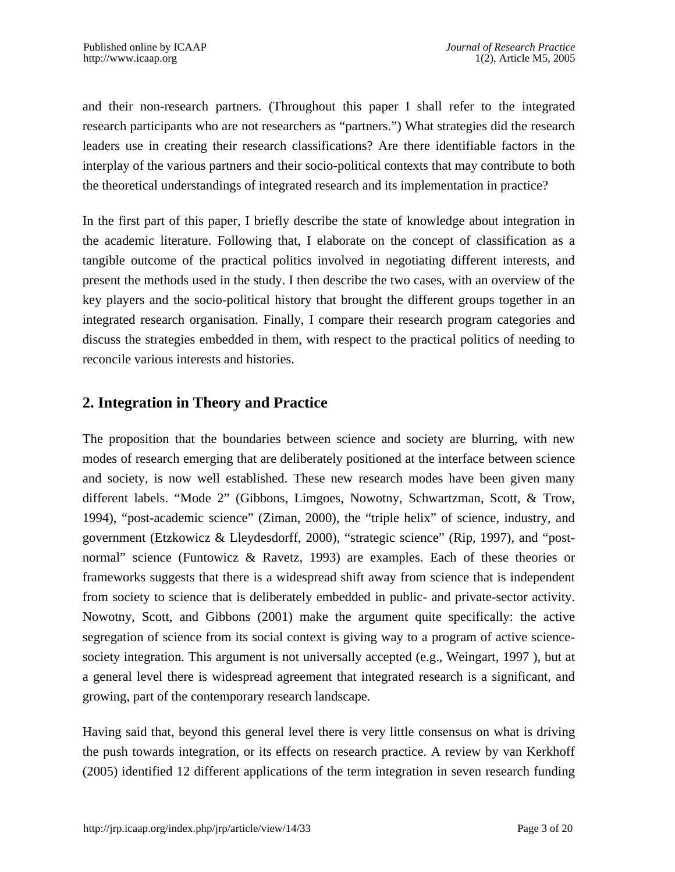and their non-research partners. (Throughout this paper I shall refer to the integrated research participants who are not researchers as "partners.") What strategies did the research leaders use in creating their research classifications? Are there identifiable factors in the interplay of the various partners and their socio-political contexts that may contribute to both the theoretical understandings of integrated research and its implementation in practice?

In the first part of this paper, I briefly describe the state of knowledge about integration in the academic literature. Following that, I elaborate on the concept of classification as a tangible outcome of the practical politics involved in negotiating different interests, and present the methods used in the study. I then describe the two cases, with an overview of the key players and the socio-political history that brought the different groups together in an integrated research organisation. Finally, I compare their research program categories and discuss the strategies embedded in them, with respect to the practical politics of needing to reconcile various interests and histories.

## **2. Integration in Theory and Practice**

The proposition that the boundaries between science and society are blurring, with new modes of research emerging that are deliberately positioned at the interface between science and society, is now well established. These new research modes have been given many different labels. "Mode 2" (Gibbons, Limgoes, Nowotny, Schwartzman, Scott, & Trow, 1994), "post-academic science" (Ziman, 2000), the "triple helix" of science, industry, and government (Etzkowicz & Lleydesdorff, 2000), "strategic science" (Rip, 1997), and "postnormal" science (Funtowicz & Ravetz, 1993) are examples. Each of these theories or frameworks suggests that there is a widespread shift away from science that is independent from society to science that is deliberately embedded in public- and private-sector activity. Nowotny, Scott, and Gibbons (2001) make the argument quite specifically: the active segregation of science from its social context is giving way to a program of active sciencesociety integration. This argument is not universally accepted (e.g., Weingart, 1997 ), but at a general level there is widespread agreement that integrated research is a significant, and growing, part of the contemporary research landscape.

Having said that, beyond this general level there is very little consensus on what is driving the push towards integration, or its effects on research practice. A review by van Kerkhoff (2005) identified 12 different applications of the term integration in seven research funding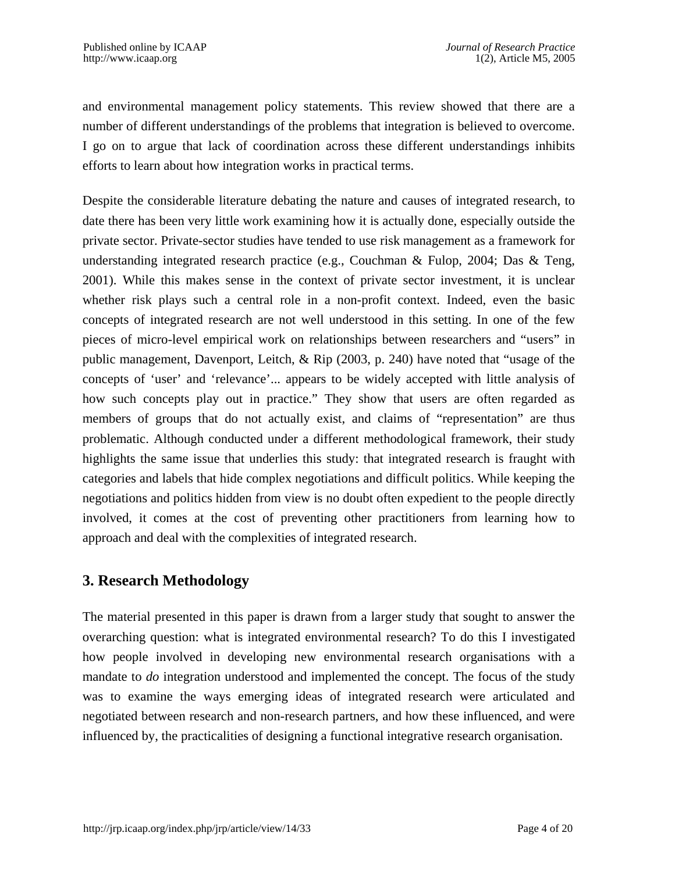and environmental management policy statements. This review showed that there are a number of different understandings of the problems that integration is believed to overcome. I go on to argue that lack of coordination across these different understandings inhibits efforts to learn about how integration works in practical terms.

Despite the considerable literature debating the nature and causes of integrated research, to date there has been very little work examining how it is actually done, especially outside the private sector. Private-sector studies have tended to use risk management as a framework for understanding integrated research practice (e.g., Couchman & Fulop, 2004; Das & Teng, 2001). While this makes sense in the context of private sector investment, it is unclear whether risk plays such a central role in a non-profit context. Indeed, even the basic concepts of integrated research are not well understood in this setting. In one of the few pieces of micro-level empirical work on relationships between researchers and "users" in public management, Davenport, Leitch, & Rip (2003, p. 240) have noted that "usage of the concepts of 'user' and 'relevance'... appears to be widely accepted with little analysis of how such concepts play out in practice." They show that users are often regarded as members of groups that do not actually exist, and claims of "representation" are thus problematic. Although conducted under a different methodological framework, their study highlights the same issue that underlies this study: that integrated research is fraught with categories and labels that hide complex negotiations and difficult politics. While keeping the negotiations and politics hidden from view is no doubt often expedient to the people directly involved, it comes at the cost of preventing other practitioners from learning how to approach and deal with the complexities of integrated research.

## **3. Research Methodology**

The material presented in this paper is drawn from a larger study that sought to answer the overarching question: what is integrated environmental research? To do this I investigated how people involved in developing new environmental research organisations with a mandate to *do* integration understood and implemented the concept. The focus of the study was to examine the ways emerging ideas of integrated research were articulated and negotiated between research and non-research partners, and how these influenced, and were influenced by, the practicalities of designing a functional integrative research organisation.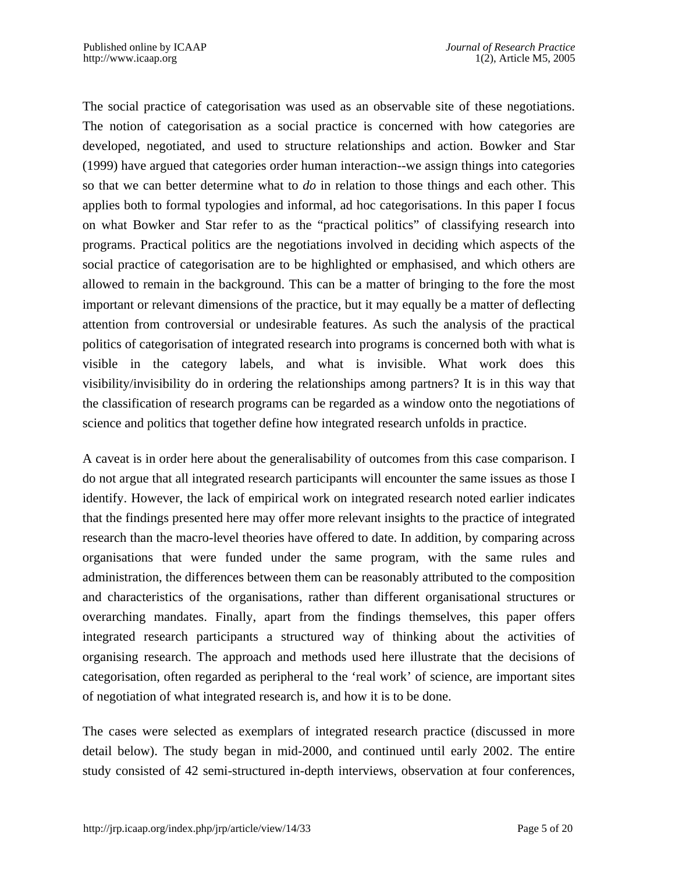The social practice of categorisation was used as an observable site of these negotiations. The notion of categorisation as a social practice is concerned with how categories are developed, negotiated, and used to structure relationships and action. Bowker and Star (1999) have argued that categories order human interaction--we assign things into categories so that we can better determine what to *do* in relation to those things and each other. This applies both to formal typologies and informal, ad hoc categorisations. In this paper I focus on what Bowker and Star refer to as the "practical politics" of classifying research into programs. Practical politics are the negotiations involved in deciding which aspects of the social practice of categorisation are to be highlighted or emphasised, and which others are allowed to remain in the background. This can be a matter of bringing to the fore the most important or relevant dimensions of the practice, but it may equally be a matter of deflecting attention from controversial or undesirable features. As such the analysis of the practical politics of categorisation of integrated research into programs is concerned both with what is visible in the category labels, and what is invisible. What work does this visibility/invisibility do in ordering the relationships among partners? It is in this way that the classification of research programs can be regarded as a window onto the negotiations of science and politics that together define how integrated research unfolds in practice.

A caveat is in order here about the generalisability of outcomes from this case comparison. I do not argue that all integrated research participants will encounter the same issues as those I identify. However, the lack of empirical work on integrated research noted earlier indicates that the findings presented here may offer more relevant insights to the practice of integrated research than the macro-level theories have offered to date. In addition, by comparing across organisations that were funded under the same program, with the same rules and administration, the differences between them can be reasonably attributed to the composition and characteristics of the organisations, rather than different organisational structures or overarching mandates. Finally, apart from the findings themselves, this paper offers integrated research participants a structured way of thinking about the activities of organising research. The approach and methods used here illustrate that the decisions of categorisation, often regarded as peripheral to the 'real work' of science, are important sites of negotiation of what integrated research is, and how it is to be done.

The cases were selected as exemplars of integrated research practice (discussed in more detail below). The study began in mid-2000, and continued until early 2002. The entire study consisted of 42 semi-structured in-depth interviews, observation at four conferences,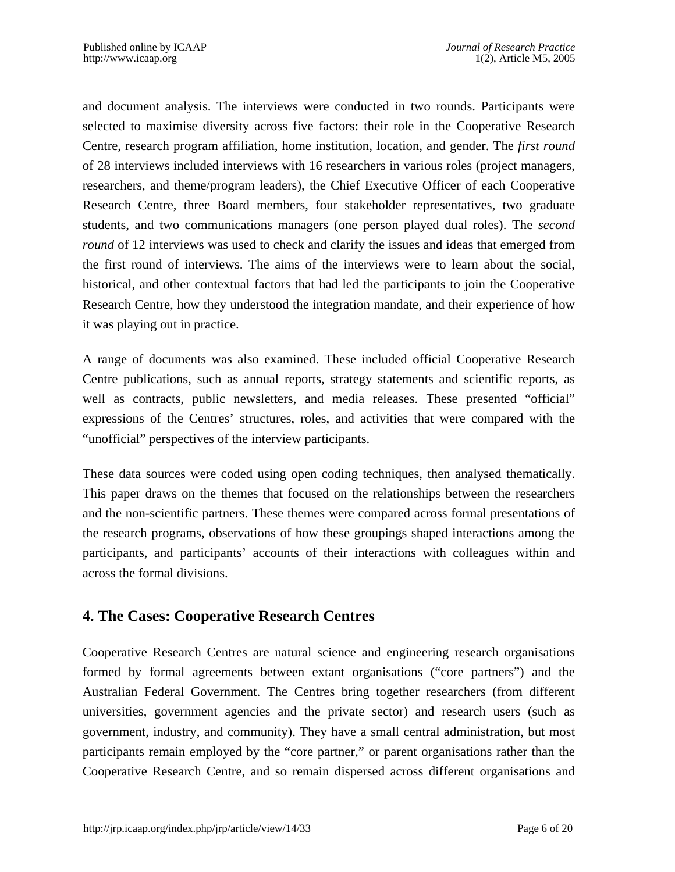and document analysis. The interviews were conducted in two rounds. Participants were selected to maximise diversity across five factors: their role in the Cooperative Research Centre, research program affiliation, home institution, location, and gender. The *first round* of 28 interviews included interviews with 16 researchers in various roles (project managers, researchers, and theme/program leaders), the Chief Executive Officer of each Cooperative Research Centre, three Board members, four stakeholder representatives, two graduate students, and two communications managers (one person played dual roles). The *second round* of 12 interviews was used to check and clarify the issues and ideas that emerged from the first round of interviews. The aims of the interviews were to learn about the social, historical, and other contextual factors that had led the participants to join the Cooperative Research Centre, how they understood the integration mandate, and their experience of how it was playing out in practice.

A range of documents was also examined. These included official Cooperative Research Centre publications, such as annual reports, strategy statements and scientific reports, as well as contracts, public newsletters, and media releases. These presented "official" expressions of the Centres' structures, roles, and activities that were compared with the "unofficial" perspectives of the interview participants.

These data sources were coded using open coding techniques, then analysed thematically. This paper draws on the themes that focused on the relationships between the researchers and the non-scientific partners. These themes were compared across formal presentations of the research programs, observations of how these groupings shaped interactions among the participants, and participants' accounts of their interactions with colleagues within and across the formal divisions.

## **4. The Cases: Cooperative Research Centres**

Cooperative Research Centres are natural science and engineering research organisations formed by formal agreements between extant organisations ("core partners") and the Australian Federal Government. The Centres bring together researchers (from different universities, government agencies and the private sector) and research users (such as government, industry, and community). They have a small central administration, but most participants remain employed by the "core partner," or parent organisations rather than the Cooperative Research Centre, and so remain dispersed across different organisations and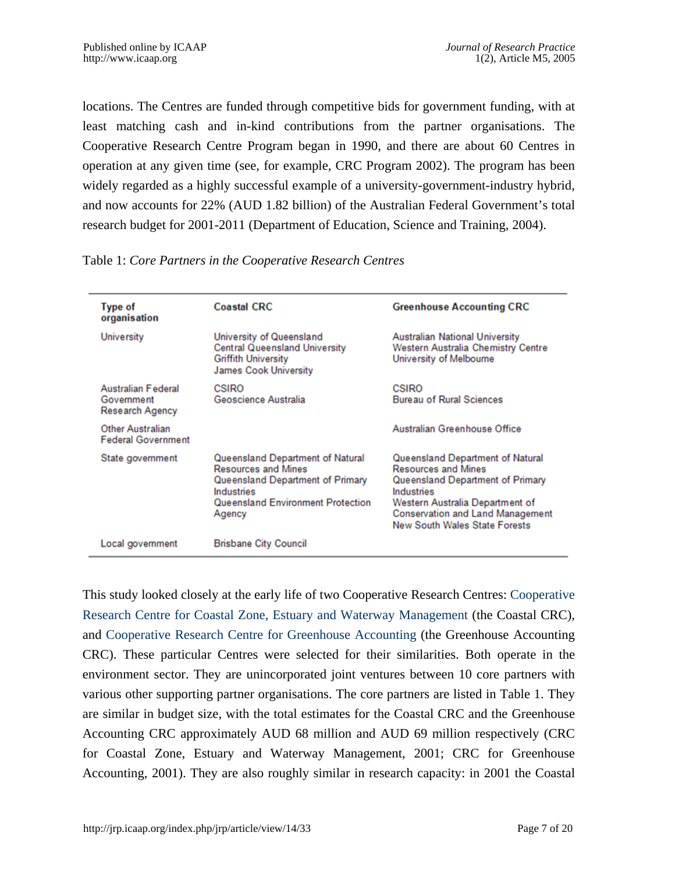locations. The Centres are funded through competitive bids for government funding, with at least matching cash and in-kind contributions from the partner organisations. The Cooperative Research Centre Program began in 1990, and there are about 60 Centres in operation at any given time (see, for example, CRC Program 2002). The program has been widely regarded as a highly successful example of a university-government-industry hybrid, and now accounts for 22% (AUD 1.82 billion) of the Australian Federal Government's total research budget for 2001-2011 (Department of Education, Science and Training, 2004).

| Type of<br>organisation                             | <b>Coastal CRC</b>                                                                                                                                              | <b>Greenhouse Accounting CRC</b>                                                                                                                                                                                         |
|-----------------------------------------------------|-----------------------------------------------------------------------------------------------------------------------------------------------------------------|--------------------------------------------------------------------------------------------------------------------------------------------------------------------------------------------------------------------------|
| <b>University</b>                                   | University of Queensland<br><b>Central Queensland University</b><br><b>Griffith University</b><br><b>James Cook University</b>                                  | <b>Australian National University</b><br>Western Australia Chemistry Centre<br>University of Melbourne                                                                                                                   |
| Australian Federal<br>Government<br>Research Agency | <b>CSIRO</b><br>Geoscience Australia                                                                                                                            | <b>CSIRO</b><br><b>Bureau of Rural Sciences</b>                                                                                                                                                                          |
| Other Australian<br><b>Federal Government</b>       |                                                                                                                                                                 | Australian Greenhouse Office                                                                                                                                                                                             |
| State government                                    | Queensland Department of Natural<br><b>Resources and Mines</b><br>Queensland Department of Primary<br>Industries<br>Queensland Environment Protection<br>Agency | Queensland Department of Natural<br><b>Resources and Mines</b><br>Queensland Department of Primary<br>Industries<br>Western Australia Department of<br>Conservation and Land Management<br>New South Wales State Forests |
| Local government                                    | <b>Brisbane City Council</b>                                                                                                                                    |                                                                                                                                                                                                                          |

Table 1: *Core Partners in the Cooperative Research Centres*

This study looked closely at the early life of two Cooperative Research Centres: [Cooperative](http://www.coastal.crc.org.au/)  [Research Centre for Coastal Zone, Estuary and Waterway Management](http://www.coastal.crc.org.au/) (the Coastal CRC), and [Cooperative Research Centre for Greenhouse Accounting](http://www.greenhouse.crc.org.au/) (the Greenhouse Accounting CRC). These particular Centres were selected for their similarities. Both operate in the environment sector. They are unincorporated joint ventures between 10 core partners with various other supporting partner organisations. The core partners are listed in Table 1. They are similar in budget size, with the total estimates for the Coastal CRC and the Greenhouse Accounting CRC approximately AUD 68 million and AUD 69 million respectively (CRC for Coastal Zone, Estuary and Waterway Management, 2001; CRC for Greenhouse Accounting, 2001). They are also roughly similar in research capacity: in 2001 the Coastal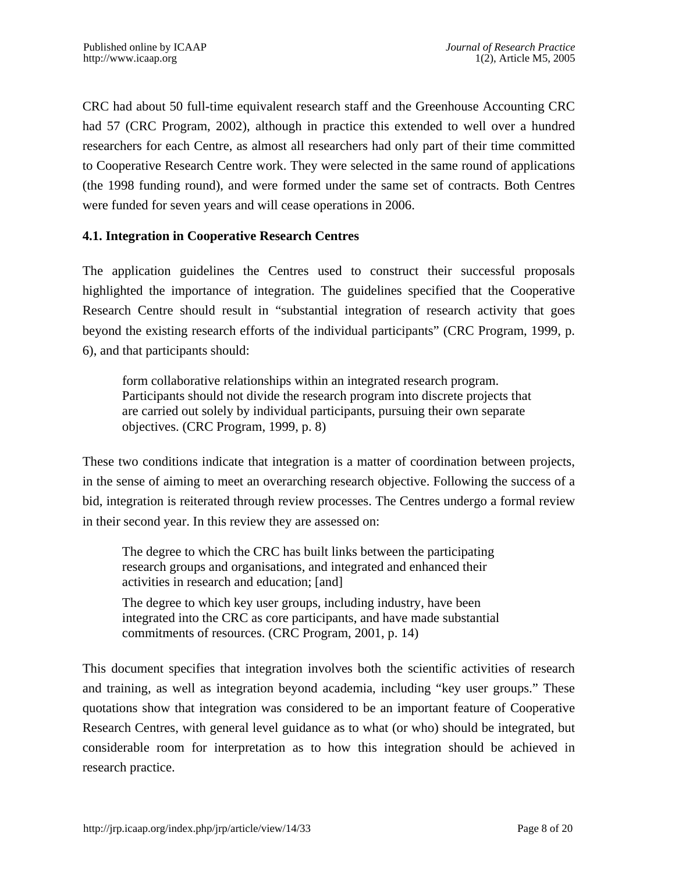CRC had about 50 full-time equivalent research staff and the Greenhouse Accounting CRC had 57 (CRC Program, 2002), although in practice this extended to well over a hundred researchers for each Centre, as almost all researchers had only part of their time committed to Cooperative Research Centre work. They were selected in the same round of applications (the 1998 funding round), and were formed under the same set of contracts. Both Centres were funded for seven years and will cease operations in 2006.

#### **4.1. Integration in Cooperative Research Centres**

The application guidelines the Centres used to construct their successful proposals highlighted the importance of integration. The guidelines specified that the Cooperative Research Centre should result in "substantial integration of research activity that goes beyond the existing research efforts of the individual participants" (CRC Program, 1999, p. 6), and that participants should:

form collaborative relationships within an integrated research program. Participants should not divide the research program into discrete projects that are carried out solely by individual participants, pursuing their own separate objectives. (CRC Program, 1999, p. 8)

These two conditions indicate that integration is a matter of coordination between projects, in the sense of aiming to meet an overarching research objective. Following the success of a bid, integration is reiterated through review processes. The Centres undergo a formal review in their second year. In this review they are assessed on:

The degree to which the CRC has built links between the participating research groups and organisations, and integrated and enhanced their activities in research and education; [and]

The degree to which key user groups, including industry, have been integrated into the CRC as core participants, and have made substantial commitments of resources. (CRC Program, 2001, p. 14)

This document specifies that integration involves both the scientific activities of research and training, as well as integration beyond academia, including "key user groups." These quotations show that integration was considered to be an important feature of Cooperative Research Centres, with general level guidance as to what (or who) should be integrated, but considerable room for interpretation as to how this integration should be achieved in research practice.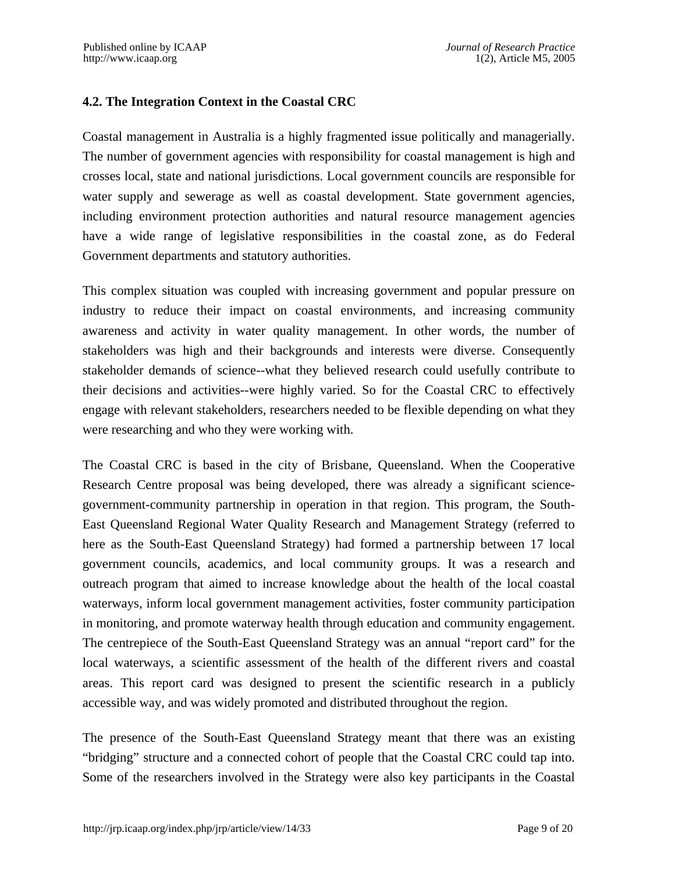#### **4.2. The Integration Context in the Coastal CRC**

Coastal management in Australia is a highly fragmented issue politically and managerially. The number of government agencies with responsibility for coastal management is high and crosses local, state and national jurisdictions. Local government councils are responsible for water supply and sewerage as well as coastal development. State government agencies, including environment protection authorities and natural resource management agencies have a wide range of legislative responsibilities in the coastal zone, as do Federal Government departments and statutory authorities.

This complex situation was coupled with increasing government and popular pressure on industry to reduce their impact on coastal environments, and increasing community awareness and activity in water quality management. In other words, the number of stakeholders was high and their backgrounds and interests were diverse. Consequently stakeholder demands of science--what they believed research could usefully contribute to their decisions and activities--were highly varied. So for the Coastal CRC to effectively engage with relevant stakeholders, researchers needed to be flexible depending on what they were researching and who they were working with.

The Coastal CRC is based in the city of Brisbane, Queensland. When the Cooperative Research Centre proposal was being developed, there was already a significant sciencegovernment-community partnership in operation in that region. This program, the South-East Queensland Regional Water Quality Research and Management Strategy (referred to here as the South-East Queensland Strategy) had formed a partnership between 17 local government councils, academics, and local community groups. It was a research and outreach program that aimed to increase knowledge about the health of the local coastal waterways, inform local government management activities, foster community participation in monitoring, and promote waterway health through education and community engagement. The centrepiece of the South-East Queensland Strategy was an annual "report card" for the local waterways, a scientific assessment of the health of the different rivers and coastal areas. This report card was designed to present the scientific research in a publicly accessible way, and was widely promoted and distributed throughout the region.

The presence of the South-East Queensland Strategy meant that there was an existing "bridging" structure and a connected cohort of people that the Coastal CRC could tap into. Some of the researchers involved in the Strategy were also key participants in the Coastal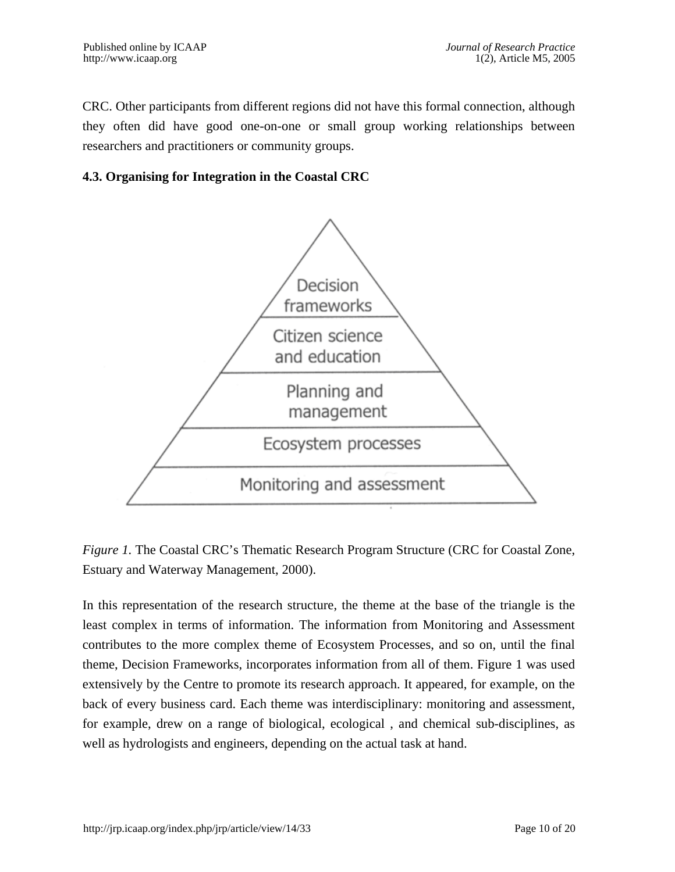CRC. Other participants from different regions did not have this formal connection, although they often did have good one-on-one or small group working relationships between researchers and practitioners or community groups.

#### **4.3. Organising for Integration in the Coastal CRC**



*Figure 1.* The Coastal CRC's Thematic Research Program Structure (CRC for Coastal Zone, Estuary and Waterway Management, 2000).

In this representation of the research structure, the theme at the base of the triangle is the least complex in terms of information. The information from Monitoring and Assessment contributes to the more complex theme of Ecosystem Processes, and so on, until the final theme, Decision Frameworks, incorporates information from all of them. Figure 1 was used extensively by the Centre to promote its research approach. It appeared, for example, on the back of every business card. Each theme was interdisciplinary: monitoring and assessment, for example, drew on a range of biological, ecological , and chemical sub-disciplines, as well as hydrologists and engineers, depending on the actual task at hand.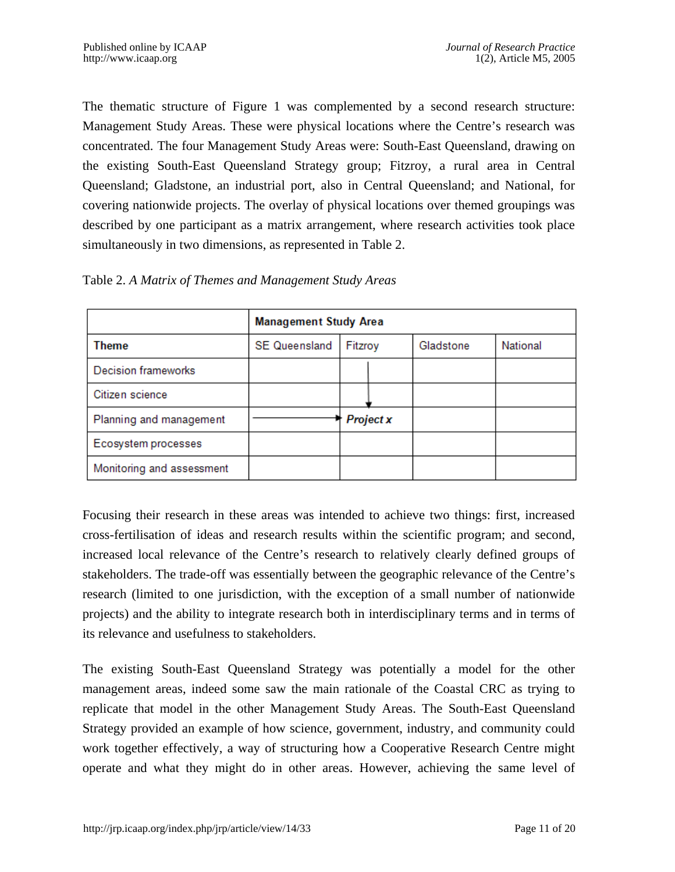The thematic structure of Figure 1 was complemented by a second research structure: Management Study Areas. These were physical locations where the Centre's research was concentrated. The four Management Study Areas were: South-East Queensland, drawing on the existing South-East Queensland Strategy group; Fitzroy, a rural area in Central Queensland; Gladstone, an industrial port, also in Central Queensland; and National, for covering nationwide projects. The overlay of physical locations over themed groupings was described by one participant as a matrix arrangement, where research activities took place simultaneously in two dimensions, as represented in Table 2.

|                           | <b>Management Study Area</b> |                  |           |          |
|---------------------------|------------------------------|------------------|-----------|----------|
| Theme                     | <b>SE Queensland</b>         | Fitzroy          | Gladstone | National |
| Decision frameworks       |                              |                  |           |          |
| Citizen science           |                              |                  |           |          |
| Planning and management   |                              | <b>Project x</b> |           |          |
| Ecosystem processes       |                              |                  |           |          |
| Monitoring and assessment |                              |                  |           |          |

Table 2. *A Matrix of Themes and Management Study Areas*

Focusing their research in these areas was intended to achieve two things: first, increased cross-fertilisation of ideas and research results within the scientific program; and second, increased local relevance of the Centre's research to relatively clearly defined groups of stakeholders. The trade-off was essentially between the geographic relevance of the Centre's research (limited to one jurisdiction, with the exception of a small number of nationwide projects) and the ability to integrate research both in interdisciplinary terms and in terms of its relevance and usefulness to stakeholders.

The existing South-East Queensland Strategy was potentially a model for the other management areas, indeed some saw the main rationale of the Coastal CRC as trying to replicate that model in the other Management Study Areas. The South-East Queensland Strategy provided an example of how science, government, industry, and community could work together effectively, a way of structuring how a Cooperative Research Centre might operate and what they might do in other areas. However, achieving the same level of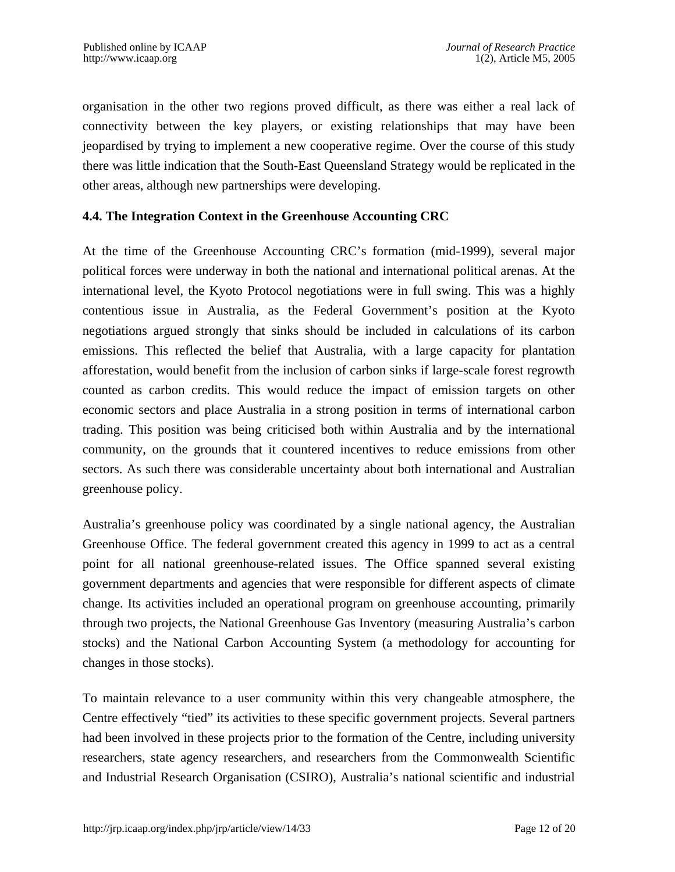organisation in the other two regions proved difficult, as there was either a real lack of connectivity between the key players, or existing relationships that may have been jeopardised by trying to implement a new cooperative regime. Over the course of this study there was little indication that the South-East Queensland Strategy would be replicated in the other areas, although new partnerships were developing.

#### **4.4. The Integration Context in the Greenhouse Accounting CRC**

At the time of the Greenhouse Accounting CRC's formation (mid-1999), several major political forces were underway in both the national and international political arenas. At the international level, the Kyoto Protocol negotiations were in full swing. This was a highly contentious issue in Australia, as the Federal Government's position at the Kyoto negotiations argued strongly that sinks should be included in calculations of its carbon emissions. This reflected the belief that Australia, with a large capacity for plantation afforestation, would benefit from the inclusion of carbon sinks if large-scale forest regrowth counted as carbon credits. This would reduce the impact of emission targets on other economic sectors and place Australia in a strong position in terms of international carbon trading. This position was being criticised both within Australia and by the international community, on the grounds that it countered incentives to reduce emissions from other sectors. As such there was considerable uncertainty about both international and Australian greenhouse policy.

Australia's greenhouse policy was coordinated by a single national agency, the Australian Greenhouse Office. The federal government created this agency in 1999 to act as a central point for all national greenhouse-related issues. The Office spanned several existing government departments and agencies that were responsible for different aspects of climate change. Its activities included an operational program on greenhouse accounting, primarily through two projects, the National Greenhouse Gas Inventory (measuring Australia's carbon stocks) and the National Carbon Accounting System (a methodology for accounting for changes in those stocks).

To maintain relevance to a user community within this very changeable atmosphere, the Centre effectively "tied" its activities to these specific government projects. Several partners had been involved in these projects prior to the formation of the Centre, including university researchers, state agency researchers, and researchers from the Commonwealth Scientific and Industrial Research Organisation (CSIRO), Australia's national scientific and industrial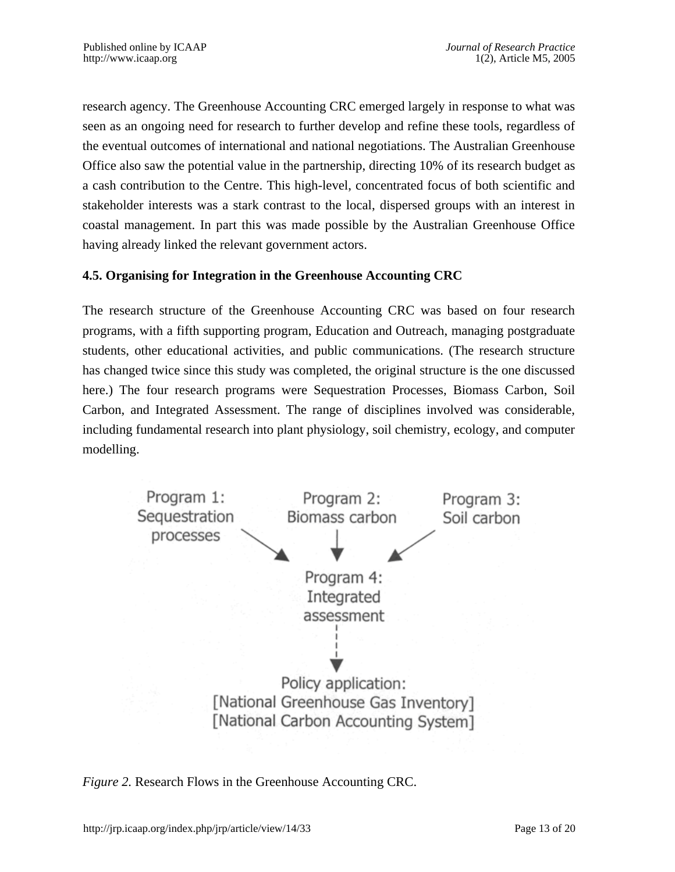research agency. The Greenhouse Accounting CRC emerged largely in response to what was seen as an ongoing need for research to further develop and refine these tools, regardless of the eventual outcomes of international and national negotiations. The Australian Greenhouse Office also saw the potential value in the partnership, directing 10% of its research budget as a cash contribution to the Centre. This high-level, concentrated focus of both scientific and stakeholder interests was a stark contrast to the local, dispersed groups with an interest in coastal management. In part this was made possible by the Australian Greenhouse Office having already linked the relevant government actors.

#### **4.5. Organising for Integration in the Greenhouse Accounting CRC**

The research structure of the Greenhouse Accounting CRC was based on four research programs, with a fifth supporting program, Education and Outreach, managing postgraduate students, other educational activities, and public communications. (The research structure has changed twice since this study was completed, the original structure is the one discussed here.) The four research programs were Sequestration Processes, Biomass Carbon, Soil Carbon, and Integrated Assessment. The range of disciplines involved was considerable, including fundamental research into plant physiology, soil chemistry, ecology, and computer modelling.



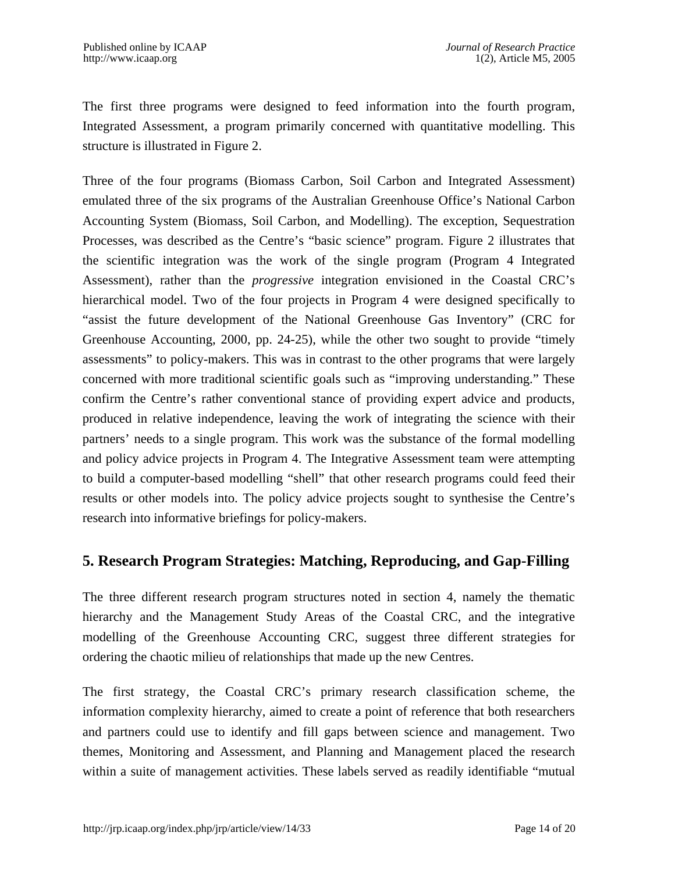The first three programs were designed to feed information into the fourth program, Integrated Assessment, a program primarily concerned with quantitative modelling. This structure is illustrated in Figure 2.

Three of the four programs (Biomass Carbon, Soil Carbon and Integrated Assessment) emulated three of the six programs of the Australian Greenhouse Office's National Carbon Accounting System (Biomass, Soil Carbon, and Modelling). The exception, Sequestration Processes, was described as the Centre's "basic science" program. Figure 2 illustrates that the scientific integration was the work of the single program (Program 4 Integrated Assessment), rather than the *progressive* integration envisioned in the Coastal CRC's hierarchical model. Two of the four projects in Program 4 were designed specifically to "assist the future development of the National Greenhouse Gas Inventory" (CRC for Greenhouse Accounting, 2000, pp. 24-25), while the other two sought to provide "timely assessments" to policy-makers. This was in contrast to the other programs that were largely concerned with more traditional scientific goals such as "improving understanding." These confirm the Centre's rather conventional stance of providing expert advice and products, produced in relative independence, leaving the work of integrating the science with their partners' needs to a single program. This work was the substance of the formal modelling and policy advice projects in Program 4. The Integrative Assessment team were attempting to build a computer-based modelling "shell" that other research programs could feed their results or other models into. The policy advice projects sought to synthesise the Centre's research into informative briefings for policy-makers.

## **5. Research Program Strategies: Matching, Reproducing, and Gap-Filling**

The three different research program structures noted in section 4, namely the thematic hierarchy and the Management Study Areas of the Coastal CRC, and the integrative modelling of the Greenhouse Accounting CRC, suggest three different strategies for ordering the chaotic milieu of relationships that made up the new Centres.

The first strategy, the Coastal CRC's primary research classification scheme, the information complexity hierarchy, aimed to create a point of reference that both researchers and partners could use to identify and fill gaps between science and management. Two themes, Monitoring and Assessment, and Planning and Management placed the research within a suite of management activities. These labels served as readily identifiable "mutual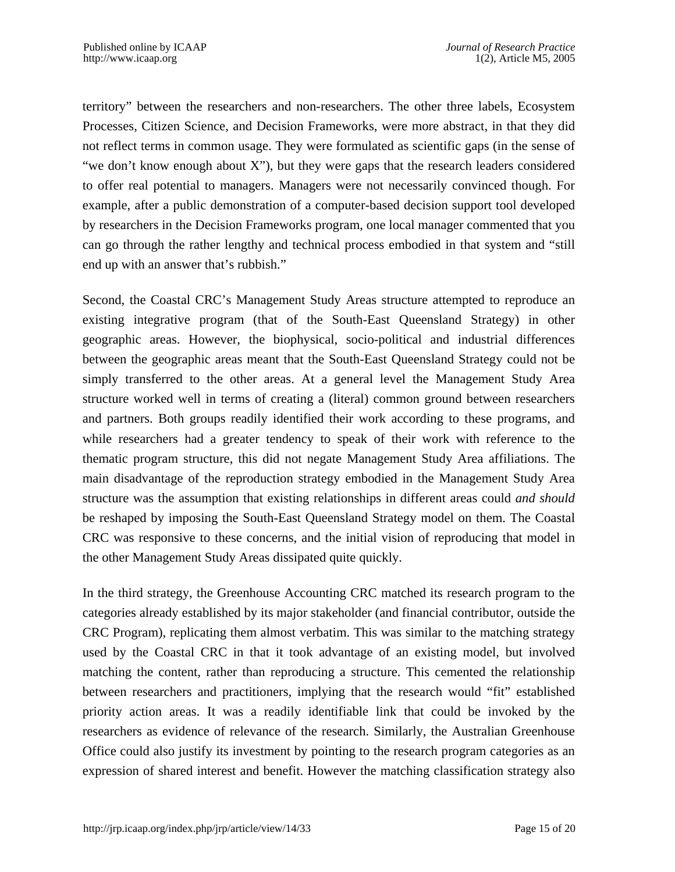territory" between the researchers and non-researchers. The other three labels, Ecosystem Processes, Citizen Science, and Decision Frameworks, were more abstract, in that they did not reflect terms in common usage. They were formulated as scientific gaps (in the sense of "we don't know enough about X"), but they were gaps that the research leaders considered to offer real potential to managers. Managers were not necessarily convinced though. For example, after a public demonstration of a computer-based decision support tool developed by researchers in the Decision Frameworks program, one local manager commented that you can go through the rather lengthy and technical process embodied in that system and "still end up with an answer that's rubbish."

Second, the Coastal CRC's Management Study Areas structure attempted to reproduce an existing integrative program (that of the South-East Queensland Strategy) in other geographic areas. However, the biophysical, socio-political and industrial differences between the geographic areas meant that the South-East Queensland Strategy could not be simply transferred to the other areas. At a general level the Management Study Area structure worked well in terms of creating a (literal) common ground between researchers and partners. Both groups readily identified their work according to these programs, and while researchers had a greater tendency to speak of their work with reference to the thematic program structure, this did not negate Management Study Area affiliations. The main disadvantage of the reproduction strategy embodied in the Management Study Area structure was the assumption that existing relationships in different areas could *and should* be reshaped by imposing the South-East Queensland Strategy model on them. The Coastal CRC was responsive to these concerns, and the initial vision of reproducing that model in the other Management Study Areas dissipated quite quickly.

In the third strategy, the Greenhouse Accounting CRC matched its research program to the categories already established by its major stakeholder (and financial contributor, outside the CRC Program), replicating them almost verbatim. This was similar to the matching strategy used by the Coastal CRC in that it took advantage of an existing model, but involved matching the content, rather than reproducing a structure. This cemented the relationship between researchers and practitioners, implying that the research would "fit" established priority action areas. It was a readily identifiable link that could be invoked by the researchers as evidence of relevance of the research. Similarly, the Australian Greenhouse Office could also justify its investment by pointing to the research program categories as an expression of shared interest and benefit. However the matching classification strategy also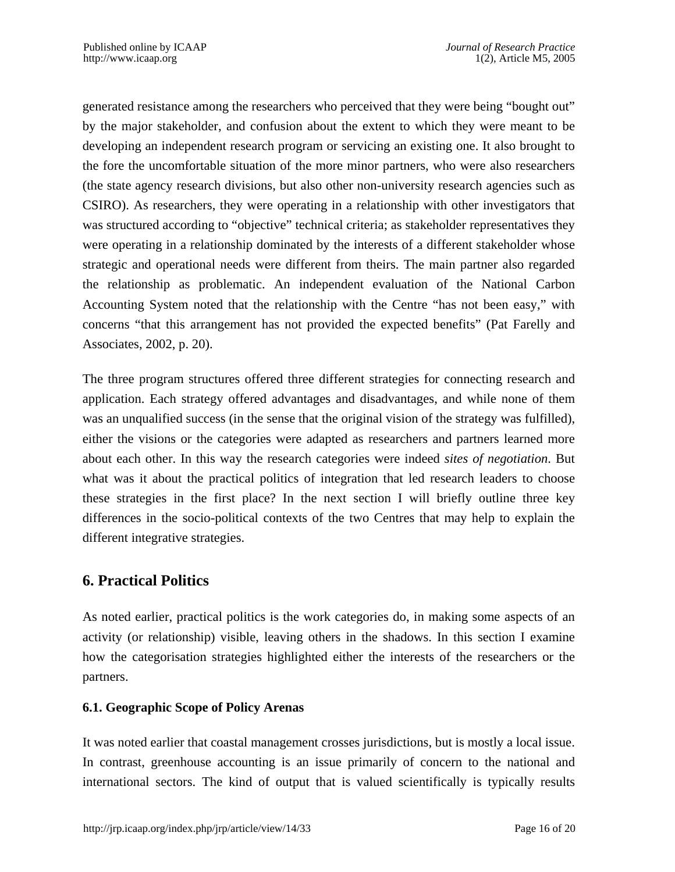generated resistance among the researchers who perceived that they were being "bought out" by the major stakeholder, and confusion about the extent to which they were meant to be developing an independent research program or servicing an existing one. It also brought to the fore the uncomfortable situation of the more minor partners, who were also researchers (the state agency research divisions, but also other non-university research agencies such as CSIRO). As researchers, they were operating in a relationship with other investigators that was structured according to "objective" technical criteria; as stakeholder representatives they were operating in a relationship dominated by the interests of a different stakeholder whose strategic and operational needs were different from theirs. The main partner also regarded the relationship as problematic. An independent evaluation of the National Carbon Accounting System noted that the relationship with the Centre "has not been easy," with concerns "that this arrangement has not provided the expected benefits" (Pat Farelly and Associates, 2002, p. 20).

The three program structures offered three different strategies for connecting research and application. Each strategy offered advantages and disadvantages, and while none of them was an unqualified success (in the sense that the original vision of the strategy was fulfilled), either the visions or the categories were adapted as researchers and partners learned more about each other. In this way the research categories were indeed *sites of negotiation*. But what was it about the practical politics of integration that led research leaders to choose these strategies in the first place? In the next section I will briefly outline three key differences in the socio-political contexts of the two Centres that may help to explain the different integrative strategies.

## **6. Practical Politics**

As noted earlier, practical politics is the work categories do, in making some aspects of an activity (or relationship) visible, leaving others in the shadows. In this section I examine how the categorisation strategies highlighted either the interests of the researchers or the partners.

#### **6.1. Geographic Scope of Policy Arenas**

It was noted earlier that coastal management crosses jurisdictions, but is mostly a local issue. In contrast, greenhouse accounting is an issue primarily of concern to the national and international sectors. The kind of output that is valued scientifically is typically results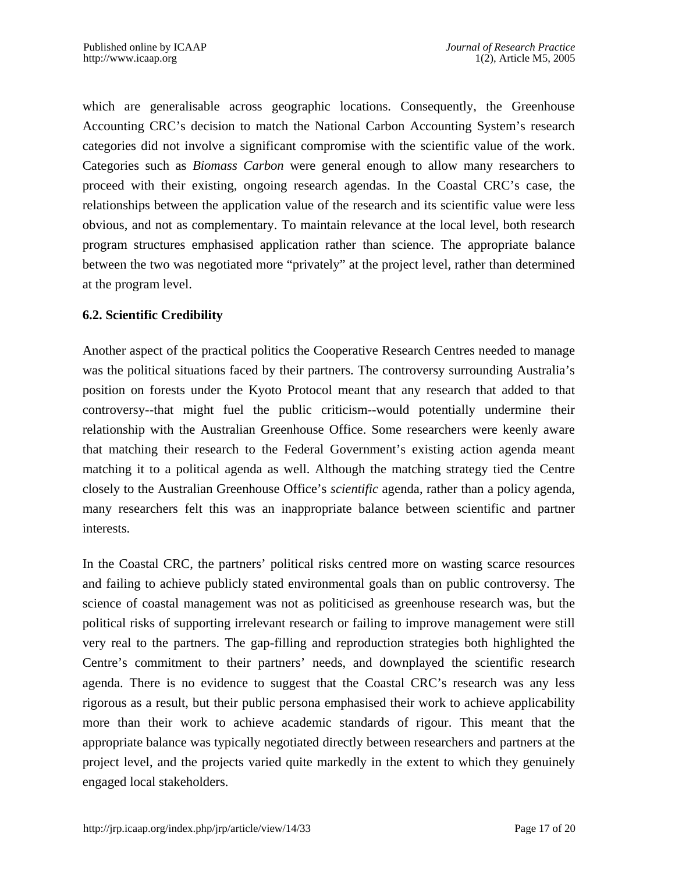which are generalisable across geographic locations. Consequently, the Greenhouse Accounting CRC's decision to match the National Carbon Accounting System's research categories did not involve a significant compromise with the scientific value of the work. Categories such as *Biomass Carbon* were general enough to allow many researchers to proceed with their existing, ongoing research agendas. In the Coastal CRC's case, the relationships between the application value of the research and its scientific value were less obvious, and not as complementary. To maintain relevance at the local level, both research program structures emphasised application rather than science. The appropriate balance between the two was negotiated more "privately" at the project level, rather than determined at the program level.

#### **6.2. Scientific Credibility**

Another aspect of the practical politics the Cooperative Research Centres needed to manage was the political situations faced by their partners. The controversy surrounding Australia's position on forests under the Kyoto Protocol meant that any research that added to that controversy--that might fuel the public criticism--would potentially undermine their relationship with the Australian Greenhouse Office. Some researchers were keenly aware that matching their research to the Federal Government's existing action agenda meant matching it to a political agenda as well. Although the matching strategy tied the Centre closely to the Australian Greenhouse Office's *scientific* agenda, rather than a policy agenda, many researchers felt this was an inappropriate balance between scientific and partner interests.

In the Coastal CRC, the partners' political risks centred more on wasting scarce resources and failing to achieve publicly stated environmental goals than on public controversy. The science of coastal management was not as politicised as greenhouse research was, but the political risks of supporting irrelevant research or failing to improve management were still very real to the partners. The gap-filling and reproduction strategies both highlighted the Centre's commitment to their partners' needs, and downplayed the scientific research agenda. There is no evidence to suggest that the Coastal CRC's research was any less rigorous as a result, but their public persona emphasised their work to achieve applicability more than their work to achieve academic standards of rigour. This meant that the appropriate balance was typically negotiated directly between researchers and partners at the project level, and the projects varied quite markedly in the extent to which they genuinely engaged local stakeholders.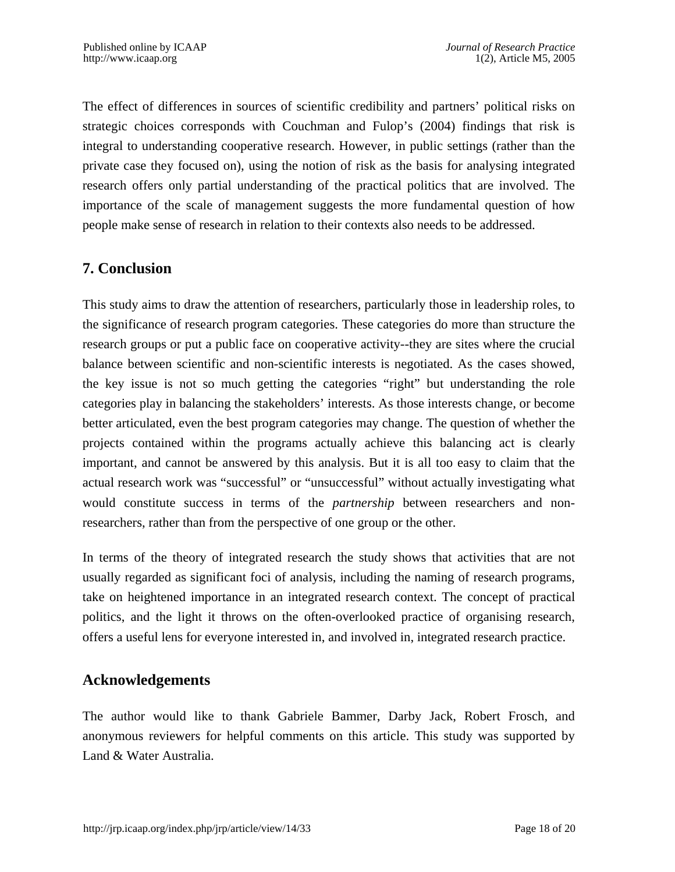The effect of differences in sources of scientific credibility and partners' political risks on strategic choices corresponds with Couchman and Fulop's (2004) findings that risk is integral to understanding cooperative research. However, in public settings (rather than the private case they focused on), using the notion of risk as the basis for analysing integrated research offers only partial understanding of the practical politics that are involved. The importance of the scale of management suggests the more fundamental question of how people make sense of research in relation to their contexts also needs to be addressed.

## **7. Conclusion**

This study aims to draw the attention of researchers, particularly those in leadership roles, to the significance of research program categories. These categories do more than structure the research groups or put a public face on cooperative activity--they are sites where the crucial balance between scientific and non-scientific interests is negotiated. As the cases showed, the key issue is not so much getting the categories "right" but understanding the role categories play in balancing the stakeholders' interests. As those interests change, or become better articulated, even the best program categories may change. The question of whether the projects contained within the programs actually achieve this balancing act is clearly important, and cannot be answered by this analysis. But it is all too easy to claim that the actual research work was "successful" or "unsuccessful" without actually investigating what would constitute success in terms of the *partnership* between researchers and nonresearchers, rather than from the perspective of one group or the other.

In terms of the theory of integrated research the study shows that activities that are not usually regarded as significant foci of analysis, including the naming of research programs, take on heightened importance in an integrated research context. The concept of practical politics, and the light it throws on the often-overlooked practice of organising research, offers a useful lens for everyone interested in, and involved in, integrated research practice.

## **Acknowledgements**

The author would like to thank Gabriele Bammer, Darby Jack, Robert Frosch, and anonymous reviewers for helpful comments on this article. This study was supported by Land & Water Australia.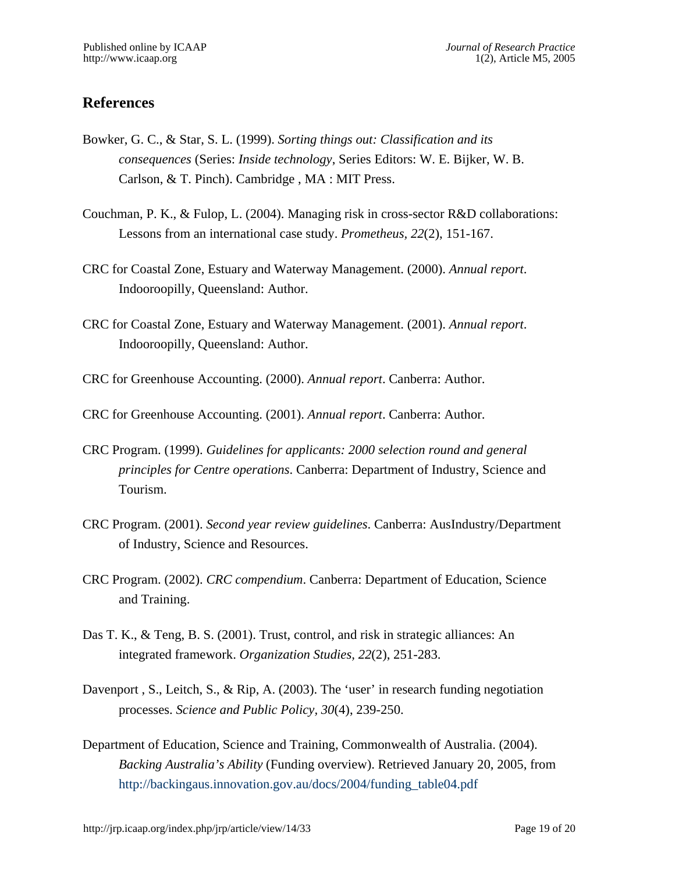# **References**

- Bowker, G. C., & Star, S. L. (1999). *Sorting things out: Classification and its consequences* (Series: *Inside technology*, Series Editors: W. E. Bijker, W. B. Carlson, & T. Pinch). Cambridge , MA : MIT Press.
- Couchman, P. K., & Fulop, L. (2004). Managing risk in cross-sector R&D collaborations: Lessons from an international case study. *Prometheus, 22*(2), 151-167.
- CRC for Coastal Zone, Estuary and Waterway Management. (2000). *Annual report*. Indooroopilly, Queensland: Author.
- CRC for Coastal Zone, Estuary and Waterway Management. (2001). *Annual report*. Indooroopilly, Queensland: Author.
- CRC for Greenhouse Accounting. (2000). *Annual report*. Canberra: Author.

CRC for Greenhouse Accounting. (2001). *Annual report*. Canberra: Author.

- CRC Program. (1999). *Guidelines for applicants: 2000 selection round and general principles for Centre operations*. Canberra: Department of Industry, Science and Tourism.
- CRC Program. (2001). *Second year review guidelines*. Canberra: AusIndustry/Department of Industry, Science and Resources.
- CRC Program. (2002). *CRC compendium*. Canberra: Department of Education, Science and Training.
- Das T. K., & Teng, B. S. (2001). Trust, control, and risk in strategic alliances: An integrated framework. *Organization Studies, 22*(2), 251-283.
- Davenport, S., Leitch, S., & Rip, A. (2003). The 'user' in research funding negotiation processes. *Science and Public Policy, 30*(4), 239-250.
- Department of Education, Science and Training, Commonwealth of Australia. (2004). *Backing Australia's Ability* (Funding overview). Retrieved January 20, 2005, from [http://backingaus.innovation.gov.au/docs/2004/funding\\_table04.pdf](http://backingaus.innovation.gov.au/docs/2004/funding_table04.pdf)